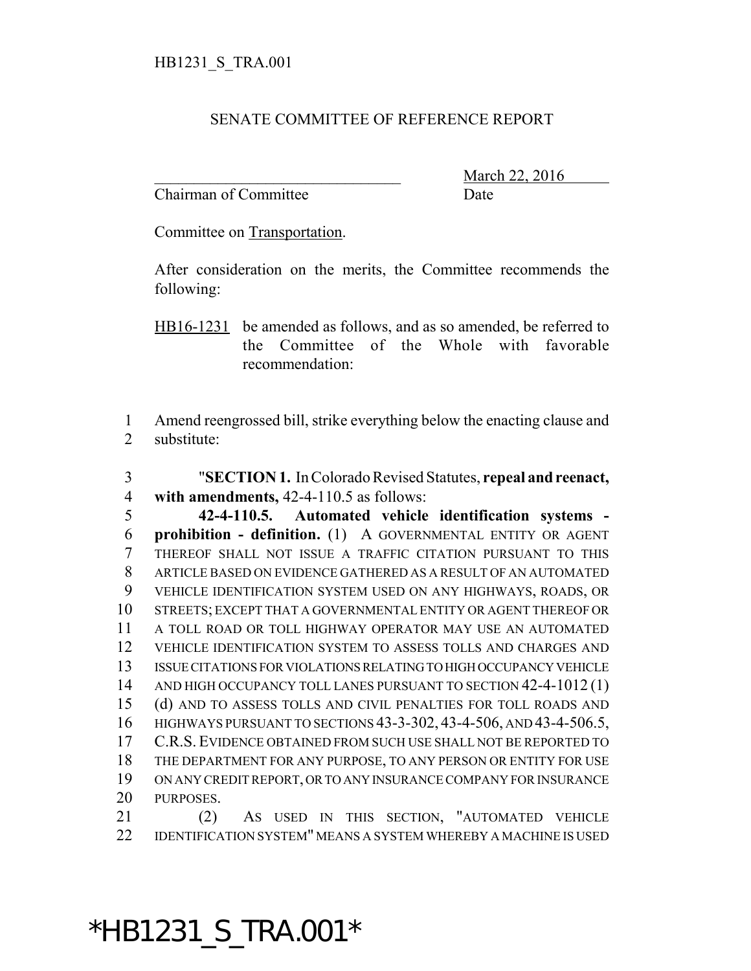## SENATE COMMITTEE OF REFERENCE REPORT

Chairman of Committee Date

March 22, 2016

Committee on Transportation.

After consideration on the merits, the Committee recommends the following:

HB16-1231 be amended as follows, and as so amended, be referred to the Committee of the Whole with favorable recommendation:

 Amend reengrossed bill, strike everything below the enacting clause and substitute:

 "**SECTION 1.** In Colorado Revised Statutes, **repeal and reenact, with amendments,** 42-4-110.5 as follows:

 **42-4-110.5. Automated vehicle identification systems - prohibition - definition.** (1) A GOVERNMENTAL ENTITY OR AGENT THEREOF SHALL NOT ISSUE A TRAFFIC CITATION PURSUANT TO THIS ARTICLE BASED ON EVIDENCE GATHERED AS A RESULT OF AN AUTOMATED VEHICLE IDENTIFICATION SYSTEM USED ON ANY HIGHWAYS, ROADS, OR STREETS; EXCEPT THAT A GOVERNMENTAL ENTITY OR AGENT THEREOF OR A TOLL ROAD OR TOLL HIGHWAY OPERATOR MAY USE AN AUTOMATED VEHICLE IDENTIFICATION SYSTEM TO ASSESS TOLLS AND CHARGES AND ISSUE CITATIONS FOR VIOLATIONS RELATING TO HIGH OCCUPANCY VEHICLE 14 AND HIGH OCCUPANCY TOLL LANES PURSUANT TO SECTION 42-4-1012 (1) (d) AND TO ASSESS TOLLS AND CIVIL PENALTIES FOR TOLL ROADS AND HIGHWAYS PURSUANT TO SECTIONS 43-3-302, 43-4-506, AND 43-4-506.5, C.R.S. EVIDENCE OBTAINED FROM SUCH USE SHALL NOT BE REPORTED TO THE DEPARTMENT FOR ANY PURPOSE, TO ANY PERSON OR ENTITY FOR USE ON ANY CREDIT REPORT, OR TO ANY INSURANCE COMPANY FOR INSURANCE PURPOSES. (2) AS USED IN THIS SECTION, "AUTOMATED VEHICLE

IDENTIFICATION SYSTEM" MEANS A SYSTEM WHEREBY A MACHINE IS USED

\*HB1231\_S\_TRA.001\*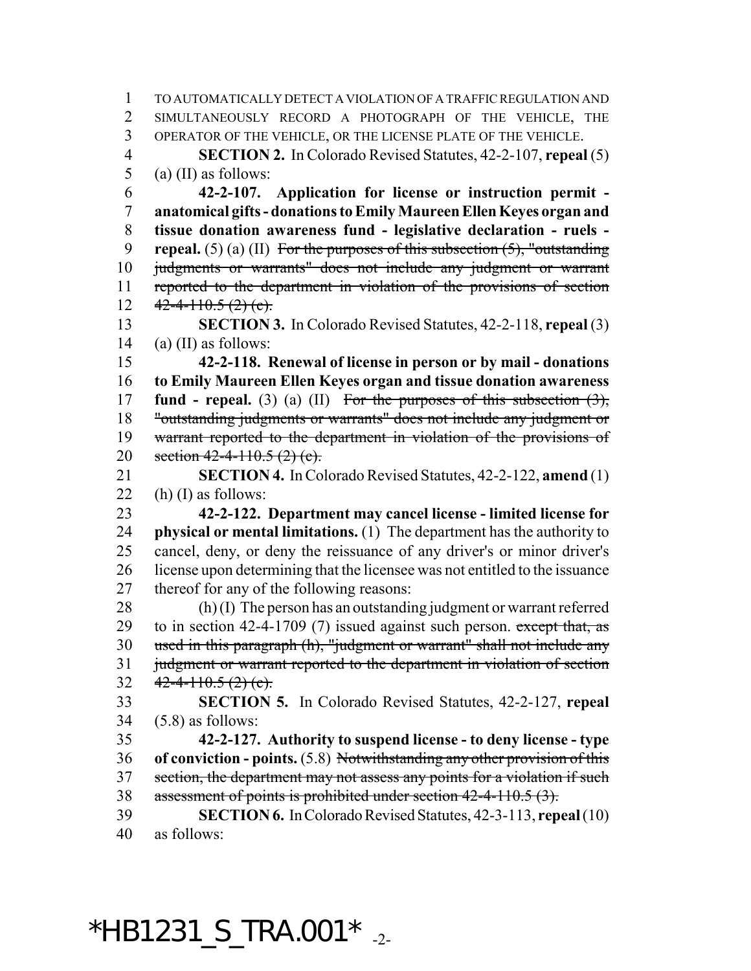TO AUTOMATICALLY DETECT A VIOLATION OF A TRAFFIC REGULATION AND SIMULTANEOUSLY RECORD A PHOTOGRAPH OF THE VEHICLE, THE OPERATOR OF THE VEHICLE, OR THE LICENSE PLATE OF THE VEHICLE. **SECTION 2.** In Colorado Revised Statutes, 42-2-107, **repeal** (5) (a) (II) as follows: **42-2-107. Application for license or instruction permit - anatomical gifts - donations to Emily Maureen Ellen Keyes organ and tissue donation awareness fund - legislative declaration - ruels - repeal.** (5) (a) (II) For the purposes of this subsection (5), "outstanding judgments or warrants" does not include any judgment or warrant reported to the department in violation of the provisions of section  $42 - 4 - 110.5$  (2) (c). **SECTION 3.** In Colorado Revised Statutes, 42-2-118, **repeal** (3) 14 (a) (II) as follows: **42-2-118. Renewal of license in person or by mail - donations to Emily Maureen Ellen Keyes organ and tissue donation awareness fund - repeal.** (3) (a) (II) For the purposes of this subsection (3), "outstanding judgments or warrants" does not include any judgment or warrant reported to the department in violation of the provisions of 20 section  $42 - 4 - 110.5$  (2) (c). **SECTION 4.** In Colorado Revised Statutes, 42-2-122, **amend** (1) 22 (h) (I) as follows: **42-2-122. Department may cancel license - limited license for physical or mental limitations.** (1) The department has the authority to cancel, deny, or deny the reissuance of any driver's or minor driver's license upon determining that the licensee was not entitled to the issuance thereof for any of the following reasons: (h) (I) The person has an outstanding judgment or warrant referred 29 to in section 42-4-1709 (7) issued against such person. except that, as used in this paragraph (h), "judgment or warrant" shall not include any judgment or warrant reported to the department in violation of section  $42 - 4 - 110.5(2)$  (c). **SECTION 5.** In Colorado Revised Statutes, 42-2-127, **repeal** (5.8) as follows: **42-2-127. Authority to suspend license - to deny license - type of conviction - points.** (5.8) Notwithstanding any other provision of this section, the department may not assess any points for a violation if such assessment of points is prohibited under section 42-4-110.5 (3). **SECTION 6.** In Colorado Revised Statutes, 42-3-113, **repeal** (10) as follows:

 $*$ HB1231\_S\_TRA.001 $*$ <sub>-2-</sub>